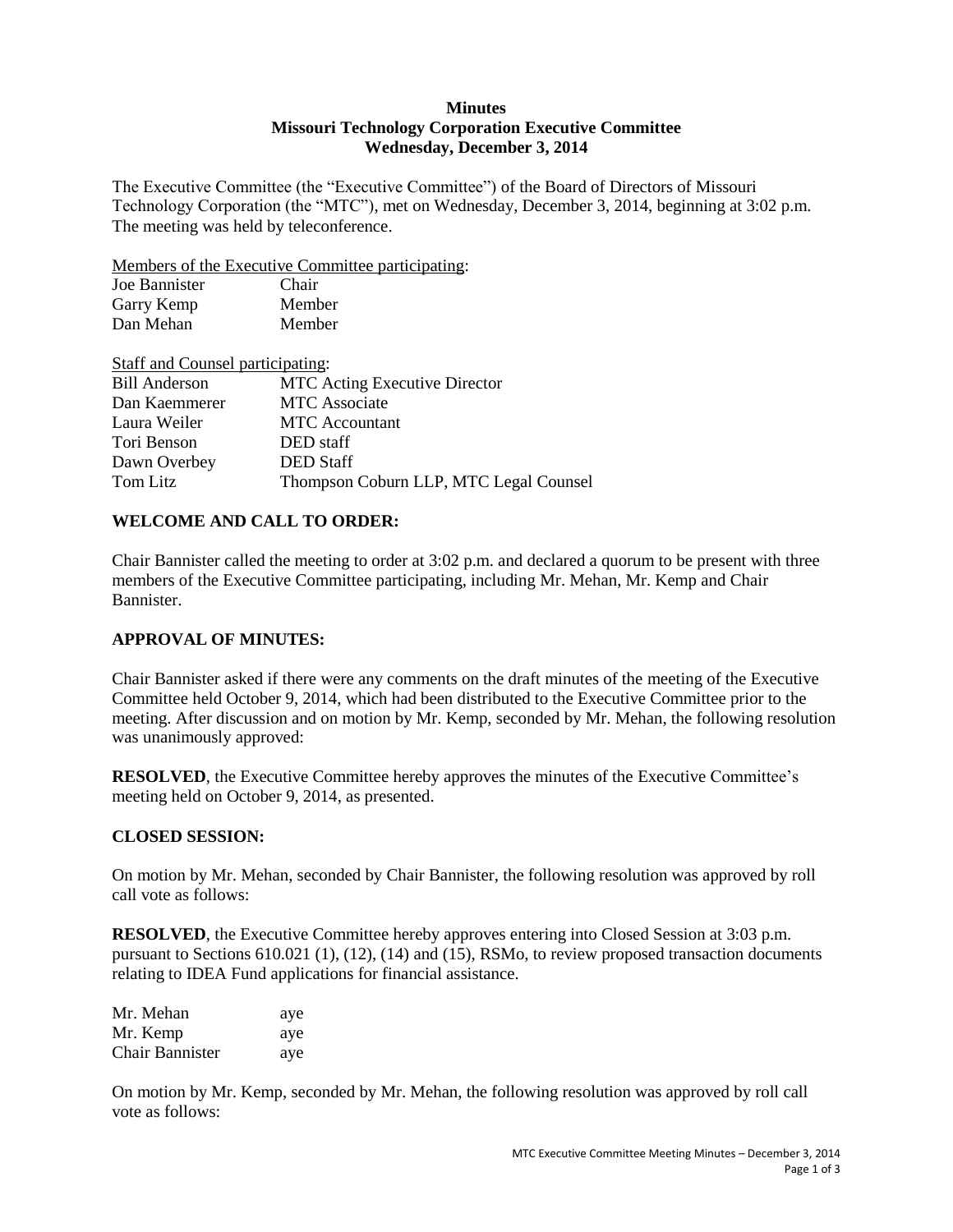### **Minutes Missouri Technology Corporation Executive Committee Wednesday, December 3, 2014**

The Executive Committee (the "Executive Committee") of the Board of Directors of Missouri Technology Corporation (the "MTC"), met on Wednesday, December 3, 2014, beginning at 3:02 p.m. The meeting was held by teleconference.

Members of the Executive Committee participating:

| Joe Bannister | Chair  |
|---------------|--------|
| Garry Kemp    | Member |
| Dan Mehan     | Member |

| Staff and Counsel participating: |                                        |
|----------------------------------|----------------------------------------|
| <b>Bill Anderson</b>             | <b>MTC</b> Acting Executive Director   |
| Dan Kaemmerer                    | <b>MTC</b> Associate                   |
| Laura Weiler                     | <b>MTC</b> Accountant                  |
| Tori Benson                      | DED staff                              |
| Dawn Overbey                     | <b>DED</b> Staff                       |
| Tom Litz                         | Thompson Coburn LLP, MTC Legal Counsel |

# **WELCOME AND CALL TO ORDER:**

Chair Bannister called the meeting to order at 3:02 p.m. and declared a quorum to be present with three members of the Executive Committee participating, including Mr. Mehan, Mr. Kemp and Chair Bannister.

### **APPROVAL OF MINUTES:**

Chair Bannister asked if there were any comments on the draft minutes of the meeting of the Executive Committee held October 9, 2014, which had been distributed to the Executive Committee prior to the meeting. After discussion and on motion by Mr. Kemp, seconded by Mr. Mehan, the following resolution was unanimously approved:

**RESOLVED**, the Executive Committee hereby approves the minutes of the Executive Committee's meeting held on October 9, 2014, as presented.

### **CLOSED SESSION:**

On motion by Mr. Mehan, seconded by Chair Bannister, the following resolution was approved by roll call vote as follows:

**RESOLVED**, the Executive Committee hereby approves entering into Closed Session at 3:03 p.m. pursuant to Sections 610.021 (1), (12), (14) and (15), RSMo, to review proposed transaction documents relating to IDEA Fund applications for financial assistance.

| Mr. Mehan              | aye |
|------------------------|-----|
| Mr. Kemp               | aye |
| <b>Chair Bannister</b> | aye |

On motion by Mr. Kemp, seconded by Mr. Mehan, the following resolution was approved by roll call vote as follows: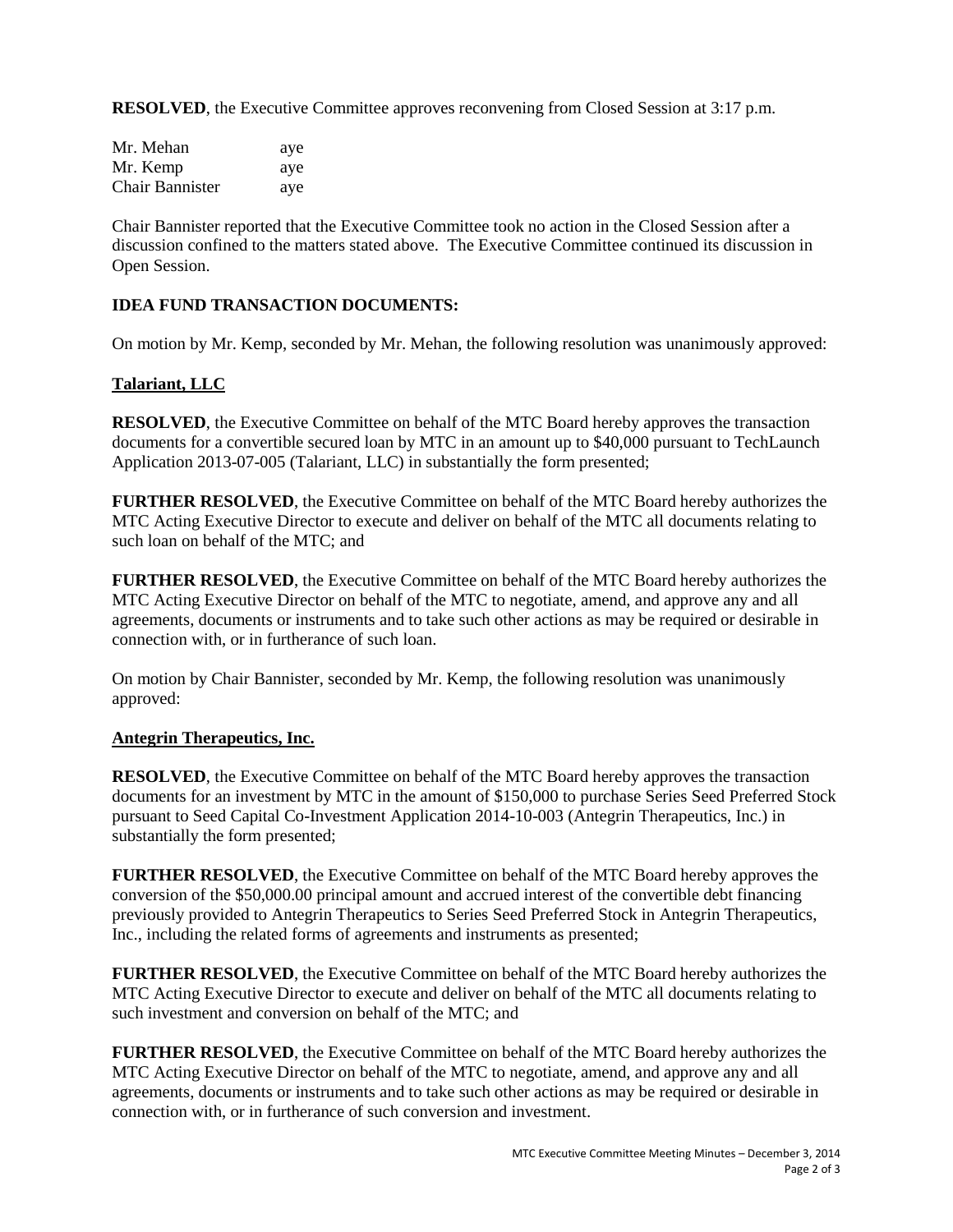**RESOLVED**, the Executive Committee approves reconvening from Closed Session at 3:17 p.m.

| Mr. Mehan       | aye |
|-----------------|-----|
| Mr. Kemp        | aye |
| Chair Bannister | aye |

Chair Bannister reported that the Executive Committee took no action in the Closed Session after a discussion confined to the matters stated above. The Executive Committee continued its discussion in Open Session.

### **IDEA FUND TRANSACTION DOCUMENTS:**

On motion by Mr. Kemp, seconded by Mr. Mehan, the following resolution was unanimously approved:

# **Talariant, LLC**

**RESOLVED**, the Executive Committee on behalf of the MTC Board hereby approves the transaction documents for a convertible secured loan by MTC in an amount up to \$40,000 pursuant to TechLaunch Application 2013-07-005 (Talariant, LLC) in substantially the form presented;

**FURTHER RESOLVED**, the Executive Committee on behalf of the MTC Board hereby authorizes the MTC Acting Executive Director to execute and deliver on behalf of the MTC all documents relating to such loan on behalf of the MTC; and

**FURTHER RESOLVED**, the Executive Committee on behalf of the MTC Board hereby authorizes the MTC Acting Executive Director on behalf of the MTC to negotiate, amend, and approve any and all agreements, documents or instruments and to take such other actions as may be required or desirable in connection with, or in furtherance of such loan.

On motion by Chair Bannister, seconded by Mr. Kemp, the following resolution was unanimously approved:

### **Antegrin Therapeutics, Inc.**

**RESOLVED**, the Executive Committee on behalf of the MTC Board hereby approves the transaction documents for an investment by MTC in the amount of \$150,000 to purchase Series Seed Preferred Stock pursuant to Seed Capital Co-Investment Application 2014-10-003 (Antegrin Therapeutics, Inc.) in substantially the form presented;

**FURTHER RESOLVED**, the Executive Committee on behalf of the MTC Board hereby approves the conversion of the \$50,000.00 principal amount and accrued interest of the convertible debt financing previously provided to Antegrin Therapeutics to Series Seed Preferred Stock in Antegrin Therapeutics, Inc., including the related forms of agreements and instruments as presented;

**FURTHER RESOLVED**, the Executive Committee on behalf of the MTC Board hereby authorizes the MTC Acting Executive Director to execute and deliver on behalf of the MTC all documents relating to such investment and conversion on behalf of the MTC; and

**FURTHER RESOLVED**, the Executive Committee on behalf of the MTC Board hereby authorizes the MTC Acting Executive Director on behalf of the MTC to negotiate, amend, and approve any and all agreements, documents or instruments and to take such other actions as may be required or desirable in connection with, or in furtherance of such conversion and investment.